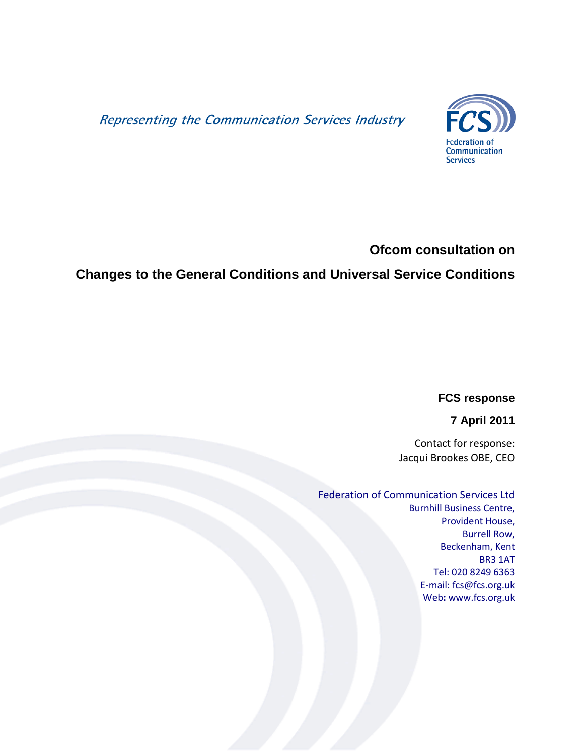Representing the Communication Services Industry



## **Ofcom consultation on**

# **Changes to the General Conditions and Universal Service Conditions**

**FCS response**

**7 April 2011**

Contact for response: Jacqui Brookes OBE, CEO

## Federation of Communication Services Ltd

Burnhill Business Centre, Provident House, Burrell Row, Beckenham, Kent BR3 1AT Tel: 020 8249 6363 E-mail: fcs@fcs.org.uk Web**:** www.fcs.org.uk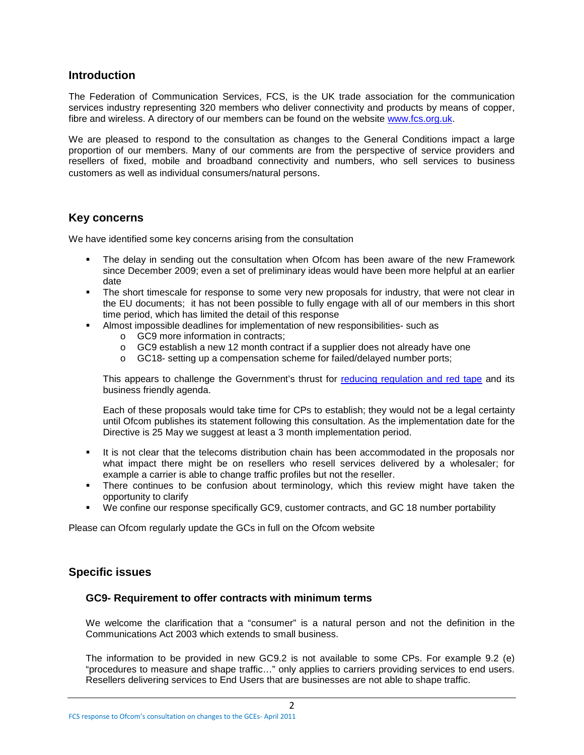## **Introduction**

The Federation of Communication Services, FCS, is the UK trade association for the communication services industry representing 320 members who deliver connectivity and products by means of copper, fibre and wireless. A directory of our members can be found on the website [www.fcs.org.uk.](http://www.fcs.org.uk/)

We are pleased to respond to the consultation as changes to the General Conditions impact a large proportion of our members. Many of our comments are from the perspective of service providers and resellers of fixed, mobile and broadband connectivity and numbers, who sell services to business customers as well as individual consumers/natural persons.

## **Key concerns**

We have identified some key concerns arising from the consultation

- The delay in sending out the consultation when Ofcom has been aware of the new Framework since December 2009; even a set of preliminary ideas would have been more helpful at an earlier date
- The short timescale for response to some very new proposals for industry, that were not clear in the EU documents; it has not been possible to fully engage with all of our members in this short time period, which has limited the detail of this response
- Almost impossible deadlines for implementation of new responsibilities- such as
	- o GC9 more information in contracts;
	- o GC9 establish a new 12 month contract if a supplier does not already have one
	- o GC18- setting up a compensation scheme for failed/delayed number ports;

This appears to challenge the Government's thrust for [reducing regulation and red tape](http://www.redtapechallenge.cabinetoffice.gov.uk/favicon.ico) and its business friendly agenda.

Each of these proposals would take time for CPs to establish; they would not be a legal certainty until Ofcom publishes its statement following this consultation. As the implementation date for the Directive is 25 May we suggest at least a 3 month implementation period.

- It is not clear that the telecoms distribution chain has been accommodated in the proposals nor what impact there might be on resellers who resell services delivered by a wholesaler; for example a carrier is able to change traffic profiles but not the reseller.
- There continues to be confusion about terminology, which this review might have taken the opportunity to clarify
- We confine our response specifically GC9, customer contracts, and GC 18 number portability

Please can Ofcom regularly update the GCs in full on the Ofcom website

## **Specific issues**

#### **GC9- Requirement to offer contracts with minimum terms**

We welcome the clarification that a "consumer" is a natural person and not the definition in the Communications Act 2003 which extends to small business.

The information to be provided in new GC9.2 is not available to some CPs. For example 9.2 (e) "procedures to measure and shape traffic…" only applies to carriers providing services to end users. Resellers delivering services to End Users that are businesses are not able to shape traffic.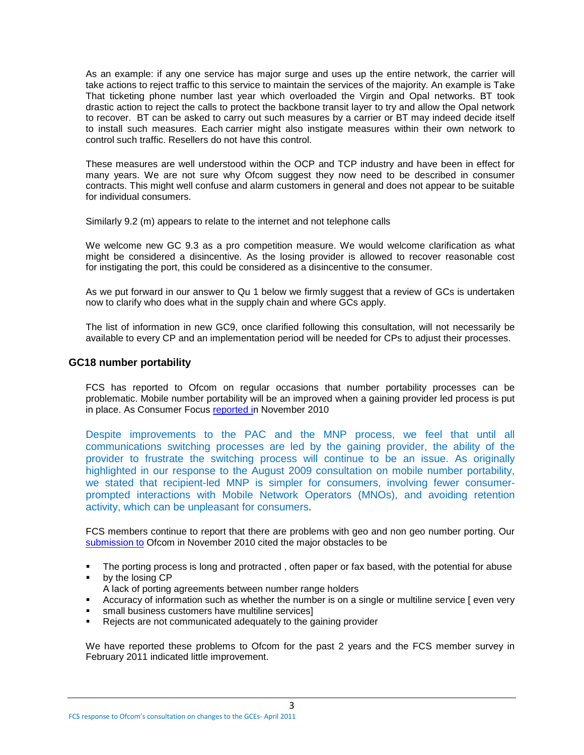As an example: if any one service has major surge and uses up the entire network, the carrier will take actions to reject traffic to this service to maintain the services of the majority. An example is Take That ticketing phone number last year which overloaded the Virgin and Opal networks. BT took drastic action to reject the calls to protect the backbone transit layer to try and allow the Opal network to recover. BT can be asked to carry out such measures by a carrier or BT may indeed decide itself to install such measures. Each carrier might also instigate measures within their own network to control such traffic. Resellers do not have this control.

These measures are well understood within the OCP and TCP industry and have been in effect for many years. We are not sure why Ofcom suggest they now need to be described in consumer contracts. This might well confuse and alarm customers in general and does not appear to be suitable for individual consumers.

Similarly 9.2 (m) appears to relate to the internet and not telephone calls

We welcome new GC 9.3 as a pro competition measure. We would welcome clarification as what might be considered a disincentive. As the losing provider is allowed to recover reasonable cost for instigating the port, this could be considered as a disincentive to the consumer.

As we put forward in our answer to Qu 1 below we firmly suggest that a review of GCs is undertaken now to clarify who does what in the supply chain and where GCs apply.

The list of information in new GC9, once clarified following this consultation, will not necessarily be available to every CP and an implementation period will be needed for CPs to adjust their processes.

#### **GC18 number portability**

FCS has reported to Ofcom on regular occasions that number portability processes can be problematic. Mobile number portability will be an improved when a gaining provider led process is put in place. As Consumer Focus [reported in](http://www.consumerfocus.org.uk/files/2009/06/Consumer-Focus-response-to-the-Ofcom-strategic-review-of-consumer-switching.pdf) November 2010

Despite improvements to the PAC and the MNP process, we feel that until all communications switching processes are led by the gaining provider, the ability of the provider to frustrate the switching process will continue to be an issue. As originally highlighted in our response to the August 2009 consultation on mobile number portability, we stated that recipient-led MNP is simpler for consumers, involving fewer consumerprompted interactions with Mobile Network Operators (MNOs), and avoiding retention activity, which can be unpleasant for consumers.

FCS members continue to report that there are problems with geo and non geo number porting. Our [submission to](http://www.fcs.org.uk/my%20files/fcs_pdfs/responses/10-11-26_fcs_responcse_to_the_ofcom_review_of_consumer_switching.pdf) Ofcom in November 2010 cited the major obstacles to be

- The porting process is long and protracted, often paper or fax based, with the potential for abuse
- **by the losing CP**
- A lack of porting agreements between number range holders
- Accuracy of information such as whether the number is on a single or multiline service [ even very
- **small business customers have multiline services]**
- Rejects are not communicated adequately to the gaining provider

We have reported these problems to Ofcom for the past 2 years and the FCS member survey in February 2011 indicated little improvement.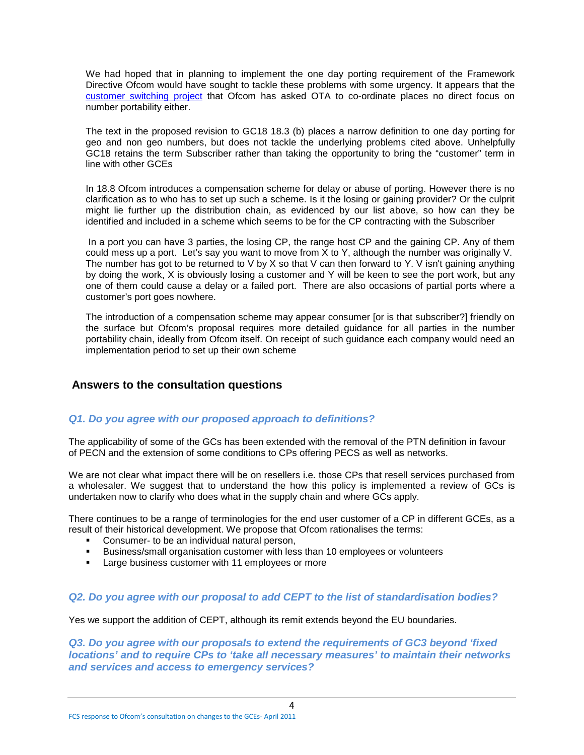We had hoped that in planning to implement the one day porting requirement of the Framework Directive Ofcom would have sought to tackle these problems with some urgency. It appears that the [customer switching project](http://stakeholders.ofcom.org.uk/telecoms/groups/switching-working-group) that Ofcom has asked OTA to co-ordinate places no direct focus on number portability either.

The text in the proposed revision to GC18 18.3 (b) places a narrow definition to one day porting for geo and non geo numbers, but does not tackle the underlying problems cited above. Unhelpfully GC18 retains the term Subscriber rather than taking the opportunity to bring the "customer" term in line with other GCEs

In 18.8 Ofcom introduces a compensation scheme for delay or abuse of porting. However there is no clarification as to who has to set up such a scheme. Is it the losing or gaining provider? Or the culprit might lie further up the distribution chain, as evidenced by our list above, so how can they be identified and included in a scheme which seems to be for the CP contracting with the Subscriber

In a port you can have 3 parties, the losing CP, the range host CP and the gaining CP. Any of them could mess up a port. Let's say you want to move from  $\bar{X}$  to Y, although the number was originally V. The number has got to be returned to V by X so that V can then forward to Y. V isn't gaining anything by doing the work, X is obviously losing a customer and Y will be keen to see the port work, but any one of them could cause a delay or a failed port. There are also occasions of partial ports where a customer's port goes nowhere.

The introduction of a compensation scheme may appear consumer [or is that subscriber?] friendly on the surface but Ofcom's proposal requires more detailed guidance for all parties in the number portability chain, ideally from Ofcom itself. On receipt of such guidance each company would need an implementation period to set up their own scheme

## **Answers to the consultation questions**

## *Q1. Do you agree with our proposed approach to definitions?*

The applicability of some of the GCs has been extended with the removal of the PTN definition in favour of PECN and the extension of some conditions to CPs offering PECS as well as networks.

We are not clear what impact there will be on resellers i.e. those CPs that resell services purchased from a wholesaler. We suggest that to understand the how this policy is implemented a review of GCs is undertaken now to clarify who does what in the supply chain and where GCs apply.

There continues to be a range of terminologies for the end user customer of a CP in different GCEs, as a result of their historical development. We propose that Ofcom rationalises the terms:

- **Consumer- to be an individual natural person,**
- Business/small organisation customer with less than 10 employees or volunteers
- **Large business customer with 11 employees or more**

#### *Q2. Do you agree with our proposal to add CEPT to the list of standardisation bodies?*

Yes we support the addition of CEPT, although its remit extends beyond the EU boundaries.

*Q3. Do you agree with our proposals to extend the requirements of GC3 beyond 'fixed locations' and to require CPs to 'take all necessary measures' to maintain their networks and services and access to emergency services?*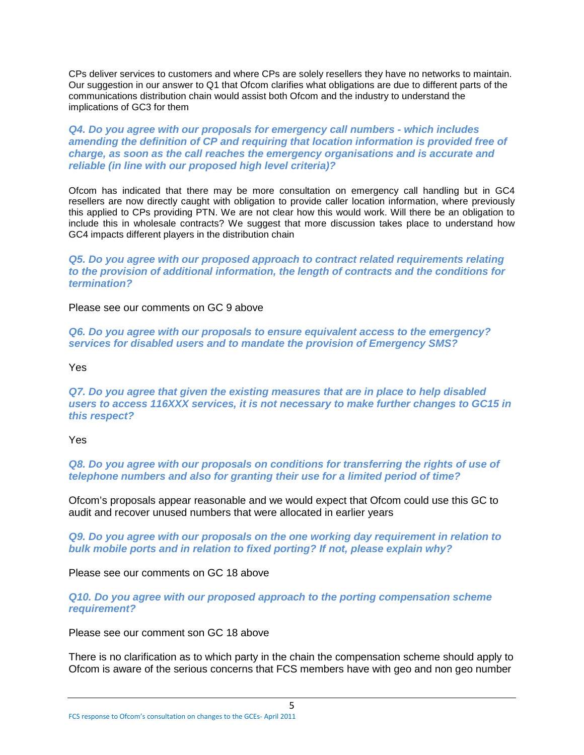CPs deliver services to customers and where CPs are solely resellers they have no networks to maintain. Our suggestion in our answer to Q1 that Ofcom clarifies what obligations are due to different parts of the communications distribution chain would assist both Ofcom and the industry to understand the implications of GC3 for them

*Q4. Do you agree with our proposals for emergency call numbers - which includes amending the definition of CP and requiring that location information is provided free of charge, as soon as the call reaches the emergency organisations and is accurate and reliable (in line with our proposed high level criteria)?* 

Ofcom has indicated that there may be more consultation on emergency call handling but in GC4 resellers are now directly caught with obligation to provide caller location information, where previously this applied to CPs providing PTN. We are not clear how this would work. Will there be an obligation to include this in wholesale contracts? We suggest that more discussion takes place to understand how GC4 impacts different players in the distribution chain

*Q5. Do you agree with our proposed approach to contract related requirements relating to the provision of additional information, the length of contracts and the conditions for termination?* 

Please see our comments on GC 9 above

*Q6. Do you agree with our proposals to ensure equivalent access to the emergency? services for disabled users and to mandate the provision of Emergency SMS?* 

Yes

*Q7. Do you agree that given the existing measures that are in place to help disabled users to access 116XXX services, it is not necessary to make further changes to GC15 in this respect?* 

Yes

*Q8. Do you agree with our proposals on conditions for transferring the rights of use of telephone numbers and also for granting their use for a limited period of time?* 

Ofcom's proposals appear reasonable and we would expect that Ofcom could use this GC to audit and recover unused numbers that were allocated in earlier years

*Q9. Do you agree with our proposals on the one working day requirement in relation to bulk mobile ports and in relation to fixed porting? If not, please explain why?* 

Please see our comments on GC 18 above

*Q10. Do you agree with our proposed approach to the porting compensation scheme requirement?* 

Please see our comment son GC 18 above

There is no clarification as to which party in the chain the compensation scheme should apply to Ofcom is aware of the serious concerns that FCS members have with geo and non geo number